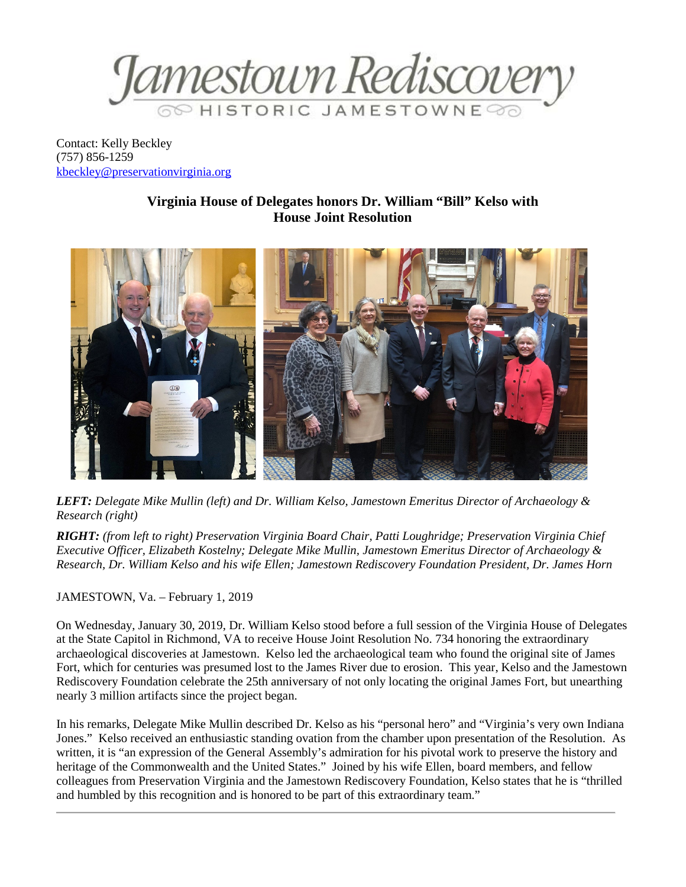

Contact: Kelly Beckley (757) 856-1259 [kbeckley@preservationvirginia.org](mailto:kbeckley@preservationvirginia.org)

## **Virginia House of Delegates honors Dr. William "Bill" Kelso with House Joint Resolution**



*LEFT: Delegate Mike Mullin (left) and Dr. William Kelso, Jamestown Emeritus Director of Archaeology & Research (right)*

*RIGHT: (from left to right) Preservation Virginia Board Chair, Patti Loughridge; Preservation Virginia Chief Executive Officer, Elizabeth Kostelny; Delegate Mike Mullin, Jamestown Emeritus Director of Archaeology & Research, Dr. William Kelso and his wife Ellen; Jamestown Rediscovery Foundation President, Dr. James Horn*

JAMESTOWN, Va. – February 1, 2019

On Wednesday, January 30, 2019, Dr. William Kelso stood before a full session of the Virginia House of Delegates at the State Capitol in Richmond, VA to receive House Joint Resolution No. 734 honoring the extraordinary archaeological discoveries at Jamestown. Kelso led the archaeological team who found the original site of James Fort, which for centuries was presumed lost to the James River due to erosion. This year, Kelso and the Jamestown Rediscovery Foundation celebrate the 25th anniversary of not only locating the original James Fort, but unearthing nearly 3 million artifacts since the project began.

In his remarks, Delegate Mike Mullin described Dr. Kelso as his "personal hero" and "Virginia's very own Indiana Jones." Kelso received an enthusiastic standing ovation from the chamber upon presentation of the Resolution. As written, it is "an expression of the General Assembly's admiration for his pivotal work to preserve the history and heritage of the Commonwealth and the United States." Joined by his wife Ellen, board members, and fellow colleagues from Preservation Virginia and the Jamestown Rediscovery Foundation, Kelso states that he is "thrilled and humbled by this recognition and is honored to be part of this extraordinary team."